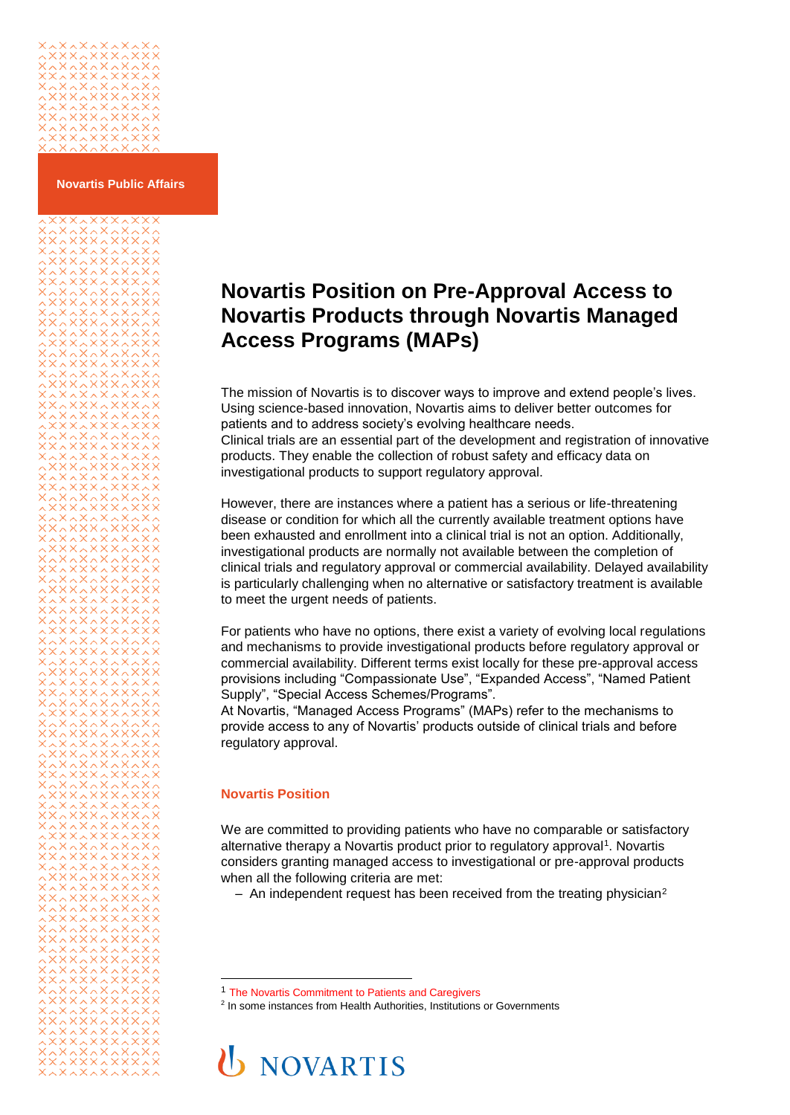# 

133232323<br>|XAXXXXXXX<br>!XXXXXXXX<br>!AXAXAXXXX

**Novartis Public Affairs**

# **Novartis Position on Pre-Approval Access to Novartis Products through Novartis Managed Access Programs (MAPs)**

The mission of Novartis is to discover ways to improve and extend people's lives. Using science-based innovation, Novartis aims to deliver better outcomes for patients and to address society's evolving healthcare needs. Clinical trials are an essential part of the development and registration of innovative products. They enable the collection of robust safety and efficacy data on investigational products to support regulatory approval.

However, there are instances where a patient has a serious or life-threatening disease or condition for which all the currently available treatment options have been exhausted and enrollment into a clinical trial is not an option. Additionally, investigational products are normally not available between the completion of clinical trials and regulatory approval or commercial availability. Delayed availability is particularly challenging when no alternative or satisfactory treatment is available to meet the urgent needs of patients.

For patients who have no options, there exist a variety of evolving local regulations and mechanisms to provide investigational products before regulatory approval or commercial availability. Different terms exist locally for these pre-approval access provisions including "Compassionate Use", "Expanded Access", "Named Patient Supply", "Special Access Schemes/Programs".

At Novartis, "Managed Access Programs" (MAPs) refer to the mechanisms to provide access to any of Novartis' products outside of clinical trials and before regulatory approval.

# **Novartis Position**

l

We are committed to providing patients who have no comparable or satisfactory alternative therapy a Novartis product prior to regulatory approval<sup>1</sup>. Novartis considers granting managed access to investigational or pre-approval products when all the following criteria are met:

 $-$  An independent request has been received from the treating physician<sup>2</sup>

<sup>&</sup>lt;sup>2</sup> In some instances from Health Authorities, Institutions or Governments



<sup>1</sup> [The Novartis Commitment to Patients and Caregivers](https://www.novartis.com/our-focus/patients-caregivers/novartis-commitment-patients-and-caregivers)